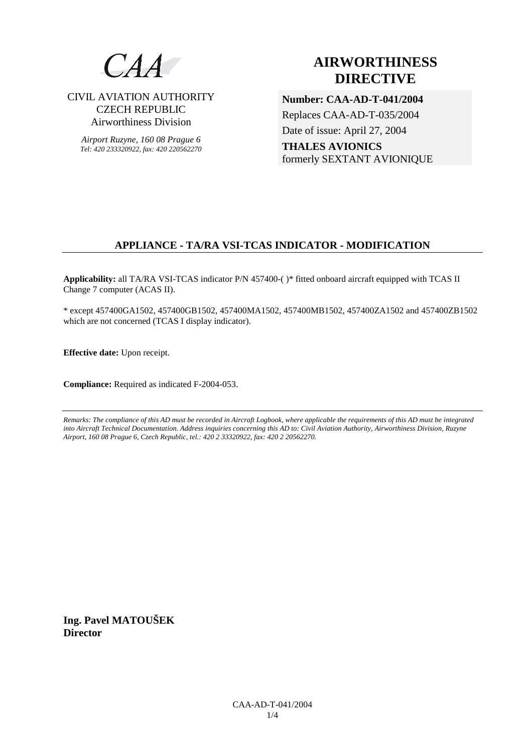

CIVIL AVIATION AUTHORITY CZECH REPUBLIC Airworthiness Division

*Airport Ruzyne, 160 08 Prague 6 Tel: 420 233320922, fax: 420 220562270*

# **AIRWORTHINESS DIRECTIVE**

**Number: CAA-AD-T-041/2004**  Replaces CAA-AD-T-035/2004 Date of issue: April 27, 2004 **THALES AVIONICS** formerly SEXTANT AVIONIQUE

## **APPLIANCE - TA/RA VSI-TCAS INDICATOR - MODIFICATION**

**Applicability:** all TA/RA VSI-TCAS indicator P/N 457400-( )\* fitted onboard aircraft equipped with TCAS II Change 7 computer (ACAS II).

\* except 457400GA1502, 457400GB1502, 457400MA1502, 457400MB1502, 457400ZA1502 and 457400ZB1502 which are not concerned (TCAS I display indicator).

**Effective date:** Upon receipt.

**Compliance:** Required as indicated F-2004-053.

*Remarks: The compliance of this AD must be recorded in Aircraft Logbook, where applicable the requirements of this AD must be integrated into Aircraft Technical Documentation. Address inquiries concerning this AD to: Civil Aviation Authority, Airworthiness Division, Ruzyne Airport, 160 08 Prague 6, Czech Republic, tel.: 420 2 33320922, fax: 420 2 20562270.* 

**Ing. Pavel MATOUŠEK Director**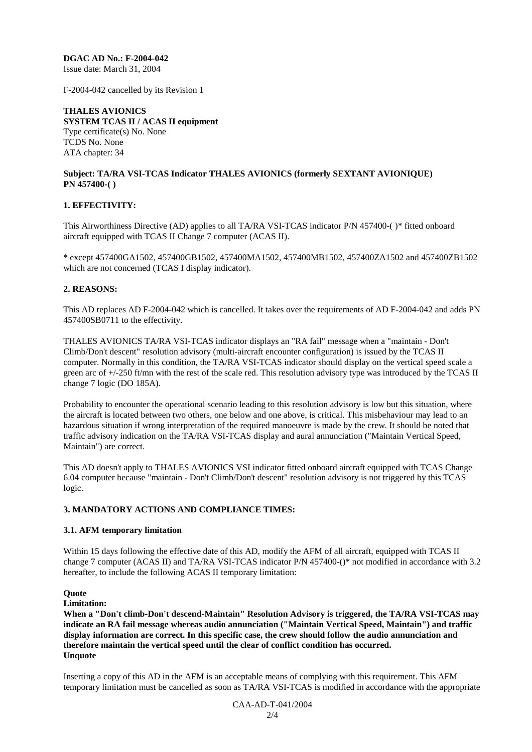**DGAC AD No.: F-2004-042**  Issue date: March 31, 2004

F-2004-042 cancelled by its Revision 1

**THALES AVIONICS SYSTEM TCAS II / ACAS II equipment**  Type certificate(s) No. None TCDS No. None ATA chapter: 34

#### **Subject: TA/RA VSI-TCAS Indicator THALES AVIONICS (formerly SEXTANT AVIONIQUE) PN 457400-( )**

## **1. EFFECTIVITY:**

This Airworthiness Directive (AD) applies to all TA/RA VSI-TCAS indicator P/N 457400-( )\* fitted onboard aircraft equipped with TCAS II Change 7 computer (ACAS II).

\* except 457400GA1502, 457400GB1502, 457400MA1502, 457400MB1502, 457400ZA1502 and 457400ZB1502 which are not concerned (TCAS I display indicator).

## **2. REASONS:**

This AD replaces AD F-2004-042 which is cancelled. It takes over the requirements of AD F-2004-042 and adds PN 457400SB0711 to the effectivity.

THALES AVIONICS TA/RA VSI-TCAS indicator displays an "RA fail" message when a "maintain - Don't Climb/Don't descent" resolution advisory (multi-aircraft encounter configuration) is issued by the TCAS II computer. Normally in this condition, the TA/RA VSI-TCAS indicator should display on the vertical speed scale a green arc of +/-250 ft/mn with the rest of the scale red. This resolution advisory type was introduced by the TCAS II change 7 logic (DO 185A).

Probability to encounter the operational scenario leading to this resolution advisory is low but this situation, where the aircraft is located between two others, one below and one above, is critical. This misbehaviour may lead to an hazardous situation if wrong interpretation of the required manoeuvre is made by the crew. It should be noted that traffic advisory indication on the TA/RA VSI-TCAS display and aural annunciation ("Maintain Vertical Speed, Maintain") are correct.

This AD doesn't apply to THALES AVIONICS VSI indicator fitted onboard aircraft equipped with TCAS Change 6.04 computer because "maintain - Don't Climb/Don't descent" resolution advisory is not triggered by this TCAS logic.

## **3. MANDATORY ACTIONS AND COMPLIANCE TIMES:**

#### **3.1. AFM temporary limitation**

Within 15 days following the effective date of this AD, modify the AFM of all aircraft, equipped with TCAS II change 7 computer (ACAS II) and TA/RA VSI-TCAS indicator P/N 457400-()\* not modified in accordance with 3.2 hereafter, to include the following ACAS II temporary limitation:

#### **Quote**

**Limitation:** 

**When a "Don't climb-Don't descend-Maintain" Resolution Advisory is triggered, the TA/RA VSI-TCAS may indicate an RA fail message whereas audio annunciation ("Maintain Vertical Speed, Maintain") and traffic display information are correct. In this specific case, the crew should follow the audio annunciation and therefore maintain the vertical speed until the clear of conflict condition has occurred. Unquote** 

Inserting a copy of this AD in the AFM is an acceptable means of complying with this requirement. This AFM temporary limitation must be cancelled as soon as TA/RA VSI-TCAS is modified in accordance with the appropriate

> CAA-AD-T-041/2004  $2/4$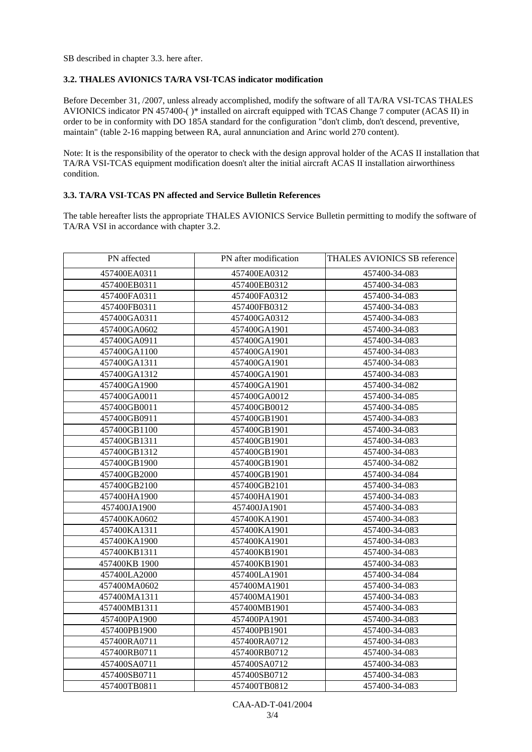SB described in chapter 3.3. here after.

## **3.2. THALES AVIONICS TA/RA VSI-TCAS indicator modification**

Before December 31, /2007, unless already accomplished, modify the software of all TA/RA VSI-TCAS THALES AVIONICS indicator PN 457400-( )\* installed on aircraft equipped with TCAS Change 7 computer (ACAS II) in order to be in conformity with DO 185A standard for the configuration "don't climb, don't descend, preventive, maintain" (table 2-16 mapping between RA, aural annunciation and Arinc world 270 content).

Note: It is the responsibility of the operator to check with the design approval holder of the ACAS II installation that TA/RA VSI-TCAS equipment modification doesn't alter the initial aircraft ACAS II installation airworthiness condition.

## **3.3. TA/RA VSI-TCAS PN affected and Service Bulletin References**

The table hereafter lists the appropriate THALES AVIONICS Service Bulletin permitting to modify the software of TA/RA VSI in accordance with chapter 3.2.

| PN affected   | PN after modification | <b>THALES AVIONICS SB reference</b> |
|---------------|-----------------------|-------------------------------------|
| 457400EA0311  | 457400EA0312          | 457400-34-083                       |
| 457400EB0311  | 457400EB0312          | 457400-34-083                       |
| 457400FA0311  | 457400FA0312          | 457400-34-083                       |
| 457400FB0311  | 457400FB0312          | 457400-34-083                       |
| 457400GA0311  | 457400GA0312          | 457400-34-083                       |
| 457400GA0602  | 457400GA1901          | 457400-34-083                       |
| 457400GA0911  | 457400GA1901          | 457400-34-083                       |
| 457400GA1100  | 457400GA1901          | 457400-34-083                       |
| 457400GA1311  | 457400GA1901          | 457400-34-083                       |
| 457400GA1312  | 457400GA1901          | 457400-34-083                       |
| 457400GA1900  | 457400GA1901          | 457400-34-082                       |
| 457400GA0011  | 457400GA0012          | 457400-34-085                       |
| 457400GB0011  | 457400GB0012          | 457400-34-085                       |
| 457400GB0911  | 457400GB1901          | 457400-34-083                       |
| 457400GB1100  | 457400GB1901          | 457400-34-083                       |
| 457400GB1311  | 457400GB1901          | 457400-34-083                       |
| 457400GB1312  | 457400GB1901          | 457400-34-083                       |
| 457400GB1900  | 457400GB1901          | 457400-34-082                       |
| 457400GB2000  | 457400GB1901          | 457400-34-084                       |
| 457400GB2100  | 457400GB2101          | 457400-34-083                       |
| 457400HA1900  | 457400HA1901          | 457400-34-083                       |
| 457400JA1900  | 457400JA1901          | 457400-34-083                       |
| 457400KA0602  | 457400KA1901          | 457400-34-083                       |
| 457400KA1311  | 457400KA1901          | 457400-34-083                       |
| 457400KA1900  | 457400KA1901          | 457400-34-083                       |
| 457400KB1311  | 457400KB1901          | 457400-34-083                       |
| 457400KB 1900 | 457400KB1901          | 457400-34-083                       |
| 457400LA2000  | 457400LA1901          | 457400-34-084                       |
| 457400MA0602  | 457400MA1901          | 457400-34-083                       |
| 457400MA1311  | 457400MA1901          | 457400-34-083                       |
| 457400MB1311  | 457400MB1901          | 457400-34-083                       |
| 457400PA1900  | 457400PA1901          | 457400-34-083                       |
| 457400PB1900  | 457400PB1901          | 457400-34-083                       |
| 457400RA0711  | 457400RA0712          | 457400-34-083                       |
| 457400RB0711  | 457400RB0712          | 457400-34-083                       |
| 457400SA0711  | 457400SA0712          | 457400-34-083                       |
| 457400SB0711  | 457400SB0712          | 457400-34-083                       |
| 457400TB0811  | 457400TB0812          | 457400-34-083                       |